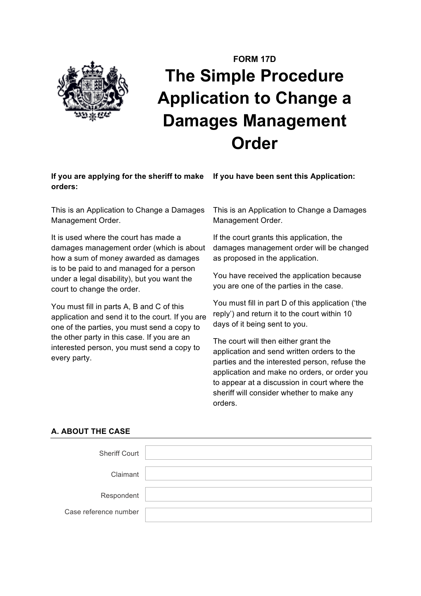

# **FORM 17D The Simple Procedure Application to Change a Damages Management Order**

## **If you are applying for the sheriff to make orders:**

**If you have been sent this Application:**

This is an Application to Change a Damages Management Order.

It is used where the court has made a damages management order (which is about how a sum of money awarded as damages is to be paid to and managed for a person under a legal disability), but you want the court to change the order.

You must fill in parts A, B and C of this application and send it to the court. If you are one of the parties, you must send a copy to the other party in this case. If you are an interested person, you must send a copy to every party.

This is an Application to Change a Damages Management Order.

If the court grants this application, the damages management order will be changed as proposed in the application.

You have received the application because you are one of the parties in the case.

You must fill in part D of this application ('the reply') and return it to the court within 10 days of it being sent to you.

The court will then either grant the application and send written orders to the parties and the interested person, refuse the application and make no orders, or order you to appear at a discussion in court where the sheriff will consider whether to make any orders.

## **A. ABOUT THE CASE**

| <b>Sheriff Court</b>  |  |
|-----------------------|--|
|                       |  |
| Claimant              |  |
| Respondent            |  |
| Case reference number |  |
|                       |  |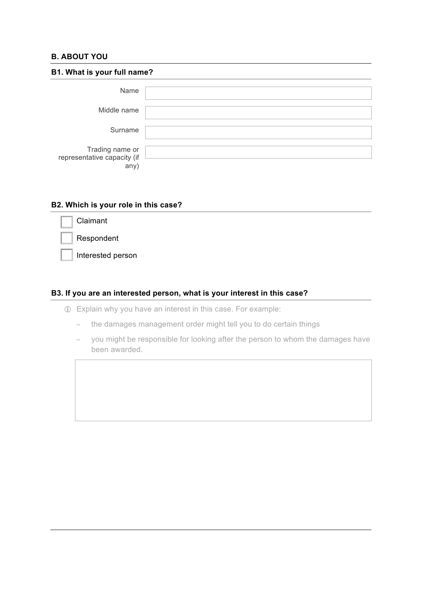#### **B. ABOUT YOU**

| B1. What is your full name?                            |  |  |
|--------------------------------------------------------|--|--|
| Name                                                   |  |  |
| Middle name                                            |  |  |
| Surname                                                |  |  |
| Trading name or<br>representative capacity (if<br>any) |  |  |

#### **B2. Which is your role in this case?**

| Claimant          |  |  |
|-------------------|--|--|
| Respondent        |  |  |
| Interested person |  |  |

# **B3. If you are an interested person, what is your interest in this case?**

- ! Explain why you have an interest in this case. For example:
	- − the damages management order might tell you to do certain things
	- − you might be responsible for looking after the person to whom the damages have been awarded.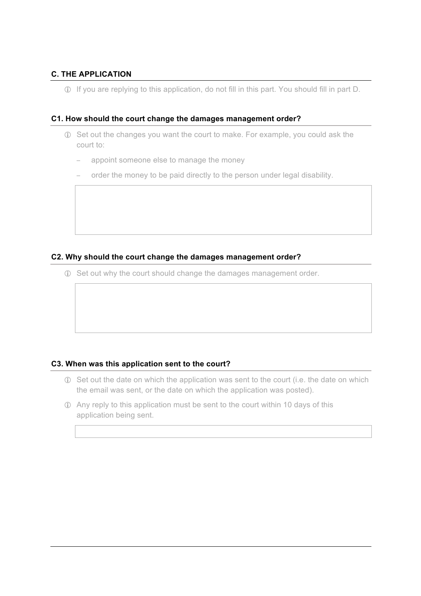## **C. THE APPLICATION**

! If you are replying to this application, do not fill in this part. You should fill in part D.

#### **C1. How should the court change the damages management order?**

- ! Set out the changes you want the court to make. For example, you could ask the court to:
	- appoint someone else to manage the money
	- order the money to be paid directly to the person under legal disability.

#### **C2. Why should the court change the damages management order?**

! Set out why the court should change the damages management order.

#### **C3. When was this application sent to the court?**

- ! Set out the date on which the application was sent to the court (i.e. the date on which the email was sent, or the date on which the application was posted).
- ! Any reply to this application must be sent to the court within 10 days of this application being sent.